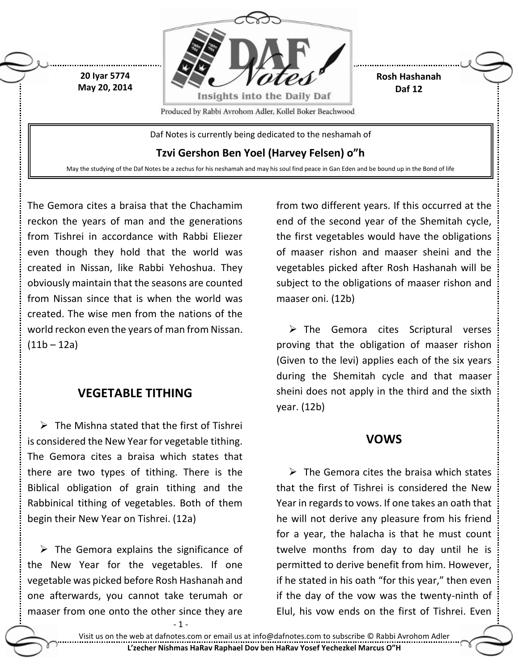

The Gemora cites a braisa that the Chachamim reckon the years of man and the generations from Tishrei in accordance with Rabbi Eliezer even though they hold that the world was created in Nissan, like Rabbi Yehoshua. They obviously maintain that the seasons are counted from Nissan since that is when the world was created. The wise men from the nations of the world reckon even the years of man from Nissan.  $(11b - 12a)$ 

## **VEGETABLE TITHING**

 $\triangleright$  The Mishna stated that the first of Tishrei is considered the New Year for vegetable tithing. The Gemora cites a braisa which states that there are two types of tithing. There is the Biblical obligation of grain tithing and the Rabbinical tithing of vegetables. Both of them begin their New Year on Tishrei. (12a)

 $\triangleright$  The Gemora explains the significance of the New Year for the vegetables. If one vegetable was picked before Rosh Hashanah and one afterwards, you cannot take terumah or maaser from one onto the other since they are

- 1 -

from two different years. If this occurred at the end of the second year of the Shemitah cycle, the first vegetables would have the obligations of maaser rishon and maaser sheini and the vegetables picked after Rosh Hashanah will be subject to the obligations of maaser rishon and maaser oni. (12b)

 $\triangleright$  The Gemora cites Scriptural verses proving that the obligation of maaser rishon (Given to the levi) applies each of the six years during the Shemitah cycle and that maaser sheini does not apply in the third and the sixth year. (12b)

### **VOWS**

 $\triangleright$  The Gemora cites the braisa which states that the first of Tishrei is considered the New Year in regards to vows. If one takes an oath that he will not derive any pleasure from his friend for a year, the halacha is that he must count twelve months from day to day until he is permitted to derive benefit from him. However, if he stated in his oath "for this year," then even if the day of the vow was the twenty-ninth of Elul, his vow ends on the first of Tishrei. Even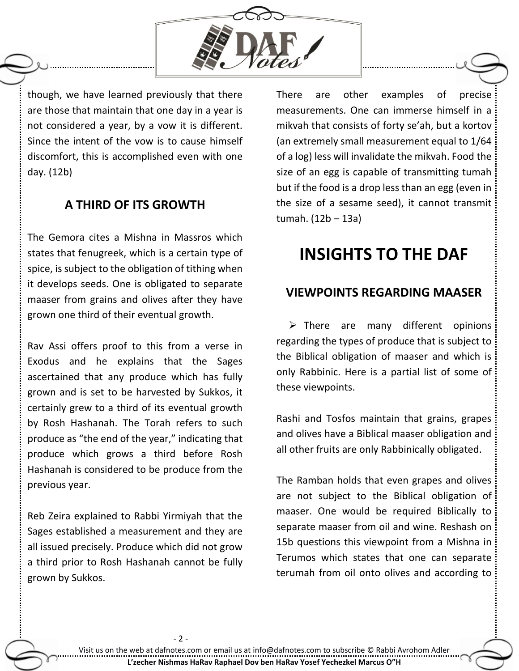

though, we have learned previously that there are those that maintain that one day in a year is not considered a year, by a vow it is different. Since the intent of the vow is to cause himself discomfort, this is accomplished even with one day. (12b)

## **A THIRD OF ITS GROWTH**

The Gemora cites a Mishna in Massros which states that fenugreek, which is a certain type of spice, is subject to the obligation of tithing when it develops seeds. One is obligated to separate maaser from grains and olives after they have grown one third of their eventual growth.

Rav Assi offers proof to this from a verse in Exodus and he explains that the Sages ascertained that any produce which has fully grown and is set to be harvested by Sukkos, it certainly grew to a third of its eventual growth by Rosh Hashanah. The Torah refers to such produce as "the end of the year," indicating that produce which grows a third before Rosh Hashanah is considered to be produce from the previous year.

Reb Zeira explained to Rabbi Yirmiyah that the Sages established a measurement and they are all issued precisely. Produce which did not grow a third prior to Rosh Hashanah cannot be fully grown by Sukkos.

- 2 -

There are other examples of precise measurements. One can immerse himself in a mikvah that consists of forty se'ah, but a kortov (an extremely small measurement equal to 1/64 of a log) less will invalidate the mikvah. Food the size of an egg is capable of transmitting tumah but if the food is a drop less than an egg (even in the size of a sesame seed), it cannot transmit tumah. (12b – 13a)

# **INSIGHTS TO THE DAF**

## **VIEWPOINTS REGARDING MAASER**

 $\triangleright$  There are many different opinions regarding the types of produce that is subject to the Biblical obligation of maaser and which is only Rabbinic. Here is a partial list of some of these viewpoints.

Rashi and Tosfos maintain that grains, grapes and olives have a Biblical maaser obligation and all other fruits are only Rabbinically obligated.

The Ramban holds that even grapes and olives are not subject to the Biblical obligation of maaser. One would be required Biblically to separate maaser from oil and wine. Reshash on 15b questions this viewpoint from a Mishna in Terumos which states that one can separate terumah from oil onto olives and according to